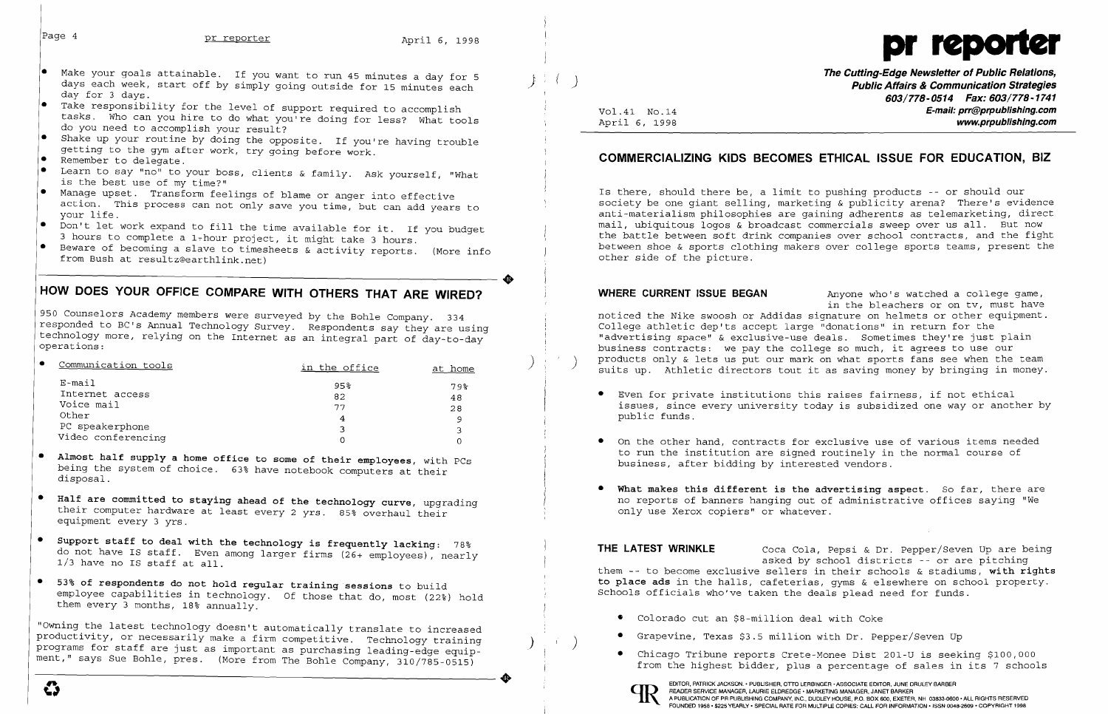- Make your goals attainable. If you want to run 45 minutes a day for 5 **The Cutting-Edge Newsletter of Public Relations,**<br>days each week, start off by simply going outside for 15 minutes each **Dublic Affairs & Communication**
- day for 3 days.<br>
Take responsibility for the level of support required to accomplish<br>
tasks. Who can you hire to do what you're doing for less? What tools<br>
do you need to accomplishing.com<br>
do you need to accomplishing.com
- Shake up your routine by doing the opposite. If you're having trouble getting to the gym after work, try going before work.<br>Remember to delegate.
- 
- Learn to say "no" to your boss, clients & family. Ask yourself, "What is the best use of my time?"
- action. This process can not only save you time, but can add years to<br>your life.
- 
- and the secondary of state to the sheets a activity reports. (More informationally applient to the picture.<br>Irom Bush at resultz@earthlink.net)

## HOW DOES YOUR OFFICE COMPARE WITH OTHERS THAT ARE WIRED? WHERE CURRENT ISSUE BEGAN Anyone who's watched a college game,

responded to BC's Annual Technology Survey. Respondents say they are using and College athletic dep'ts accept large "donations" in return for the<br>The technology more, relying on the Internet as an integral part of day-to-d



them -- to become exclusive sellers in their schools & stadiums, **with rights** are to place ads in the halls, cafeterias, gyms & elsewhere on school of respondents do not hold regular training sessions to build **to place ads** in the halls, cafeterias, gyms & elsewhere on school property. The set of p

"Owning the latest technology doesn't automatically translate to increased productivity, or necessarily make a firm competitive. Technology training<br>programs for staff are just as important as purchasing leading-edge equip-<br>ment," says Sue Bohle, pres. (More from The Bohle Company, 310/785-0515)<br>

 $\bullet$ 

## **COMMERCIALIZING KIDS BECOMES ETHICAL ISSUE FOR EDUCATION, BIZ**

es and sest assume that the computation of the manager into effective into the section of the should there be, a limit to pushing products -- or should our manage upset. Transform feelings of blame or anger into effective anti-materialism philosophies are gaining adherents as telemarketing, direct<br>mail, ubiquitous logos & broadcast commercials sweep over us all. But now • Don't let work expand to fill the time available for it. If you budget and mail, ubiquitous logos & broadcast commercials sweep over us all. But now<br>But the battle between soft drink companies over school contracts, and the battle between soft drink complete a 1-hour project, it might take 3 hours.<br>3 hours to complete a 1-hour project, it might take 3 hours.<br>3 hours to complete a 1-hour project, it might take 3 hours. We was seen to see t • Insurs to compress a finour project, it might take 3 hours.<br>• Beware of becoming a slave to timesheets & activity reports. (More info between shoe & sports clothing makers over college sports teams, present the

in the bleachers or on tv, must have<br>moticed the Nike swoosh or Addidas signature on helmets or other equipment. 950 Counselors Academy members were surveyed by the Bohle Company. 334 noticed the Nike swoosh or Addidas signature on helmets or other equipment of the Bohle Company. 334 college athletic dep'ts accept large "donations" i İ technology more, relying on the Internet as an integral part of day-to-day<br>Operations: we pay the college so much, it agrees to use our business contracts: we pay the college so much, it agrees to use our<br>products only & lets us put our mark on what sports fans see when the team<br>suits up. Athletic directors tout it as saving money by bringing in money.

- $\bullet$  Even for private institutions this raises fairness, if not ethical issues, since every university today is subsidized one way or another by public funds.
- On the other hand, contracts for exclusive use of various items needed<br>to run the institution are signed routinely in the normal course of
- What makes this different is the advertising aspect. So far, there are no reports of banners hanging out of administrative offices saying "We

EDITOR, PATRICK JACKSON. • PUBLISHER, OTTO LERBINGER • ASSOCIATE EDITOR, JUNE DRULEY BARBER<br>
PEADER SERVICE MANAGER, LAURIE ELDREDGE • MARKETING MANAGER, JANET BARKER<br>
FOUNDED 1958 • \$225 YEARLY • SPECIAL RATE FOR MULTIPLE READER SERVICE MANAGER, LAURIE ELDREDGE· MARKETING MANAGER, JANET BARKER

| Communication tools                                                 | in the office      | at home         | $P = 0$ and $C = 0$ . The set of $\alpha$<br>suits up. Athlet |
|---------------------------------------------------------------------|--------------------|-----------------|---------------------------------------------------------------|
| E-mail<br>Internet access<br>Voice mail<br>Other<br>PC speakerphone | $95\%$<br>82<br>77 | 79%<br>48<br>28 | Even for priv<br>issues, since<br>public funds.               |
| Video conferencing                                                  |                    |                 | On the other                                                  |

- Almost half supply a home office to some of their employees, with PCs to run the institution are signed routinely in the normal course of<br>being the system of choice. 63% have notebook computers at their disposal. being the system of choice. 63% have notebook computers at their
- **Half are committed to staying ahead of the technology curve**, upgrading and the state of banners hanging out of the technology curve, upgrading and the state of the technology curve, upgrading saying the same only use X their computer hardware at least every 2 yrs. 85% overhaul their equipment every 3 yrs.
- Support staff to deal with the technology is frequently lacking: 78%<br>do not have IS staff. Even among larger firms (26+ employees), nearly<br>1/3 have no IS staff at all do not have IS staff. Even among larger firms (26+ employees), nearly
- section in the matter, calcorate, given an origination of the deals plead need for some<br>employee capabilities in technology. Of those that do, most (22%) hold schools officials who've taken the deals plead need for funds. them every 3 months, 18% annually.  $\overline{\phantom{a}}$

- • Colorado cut an \$8-million deal with Coke
- 
-